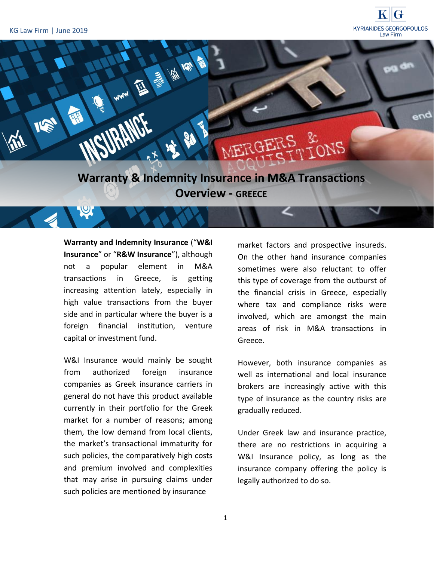

**Overview - GREECE**

**Warranty and Indemnity Insurance** ("**W&I Insurance**" or "**R&W Insurance**"), although not a popular element in M&A transactions in Greece, is getting increasing attention lately, especially in high value transactions from the buyer side and in particular where the buyer is a foreign financial institution, venture capital or investment fund.

W&I Insurance would mainly be sought from authorized foreign insurance companies as Greek insurance carriers in general do not have this product available currently in their portfolio for the Greek market for a number of reasons; among them, the low demand from local clients, the market's transactional immaturity for such policies, the comparatively high costs and premium involved and complexities that may arise in pursuing claims under such policies are mentioned by insurance

market factors and prospective insureds. On the other hand insurance companies sometimes were also reluctant to offer this type of coverage from the outburst of the financial crisis in Greece, especially where tax and compliance risks were involved, which are amongst the main areas of risk in M&A transactions in Greece.

However, both insurance companies as well as international and local insurance brokers are increasingly active with this type of insurance as the country risks are gradually reduced.

Under Greek law and insurance practice, there are no restrictions in acquiring a W&I Insurance policy, as long as the insurance company offering the policy is legally authorized to do so.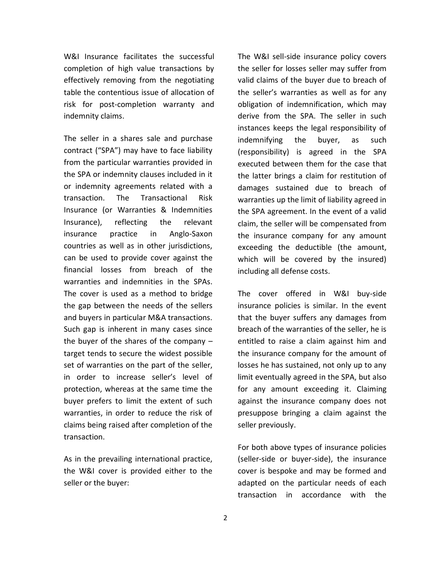W&I Insurance facilitates the successful completion of high value transactions by effectively removing from the negotiating table the contentious issue of allocation of risk for post-completion warranty and indemnity claims.

The seller in a shares sale and purchase contract ("SPA") may have to face liability from the particular warranties provided in the SPA or indemnity clauses included in it or indemnity agreements related with a transaction. The Transactional Risk Insurance (or Warranties & Indemnities Insurance), reflecting the relevant insurance practice in Anglo-Saxon countries as well as in other jurisdictions, can be used to provide cover against the financial losses from breach of the warranties and indemnities in the SPAs. The cover is used as a method to bridge the gap between the needs of the sellers and buyers in particular M&A transactions. Such gap is inherent in many cases since the buyer of the shares of the company – target tends to secure the widest possible set of warranties on the part of the seller, in order to increase seller's level of protection, whereas at the same time the buyer prefers to limit the extent of such warranties, in order to reduce the risk of claims being raised after completion of the transaction.

As in the prevailing international practice, the W&I cover is provided either to the seller or the buyer:

The W&I sell-side insurance policy covers the seller for losses seller may suffer from valid claims of the buyer due to breach of the seller's warranties as well as for any obligation of indemnification, which may derive from the SPA. The seller in such instances keeps the legal responsibility of indemnifying the buyer, as such (responsibility) is agreed in the SPA executed between them for the case that the latter brings a claim for restitution of damages sustained due to breach of warranties up the limit of liability agreed in the SPA agreement. In the event of a valid claim, the seller will be compensated from the insurance company for any amount exceeding the deductible (the amount, which will be covered by the insured) including all defense costs.

The cover offered in W&I buy-side insurance policies is similar. In the event that the buyer suffers any damages from breach of the warranties of the seller, he is entitled to raise a claim against him and the insurance company for the amount of losses he has sustained, not only up to any limit eventually agreed in the SPA, but also for any amount exceeding it. Claiming against the insurance company does not presuppose bringing a claim against the seller previously.

For both above types of insurance policies (seller-side or buyer-side), the insurance cover is bespoke and may be formed and adapted on the particular needs of each transaction in accordance with the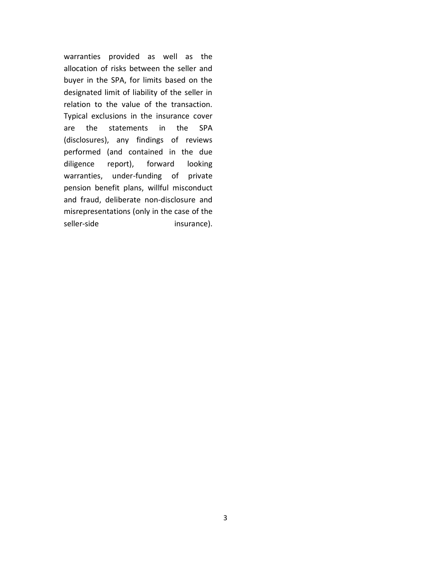warranties provided as well as the allocation of risks between the seller and buyer in the SPA, for limits based on the designated limit of liability of the seller in relation to the value of the transaction. Typical exclusions in the insurance cover are the statements in the SPA (disclosures), any findings of reviews performed (and contained in the due diligence report), forward looking warranties, under-funding of private pension benefit plans, willful misconduct and fraud, deliberate non-disclosure and misrepresentations (only in the case of the seller-side insurance).